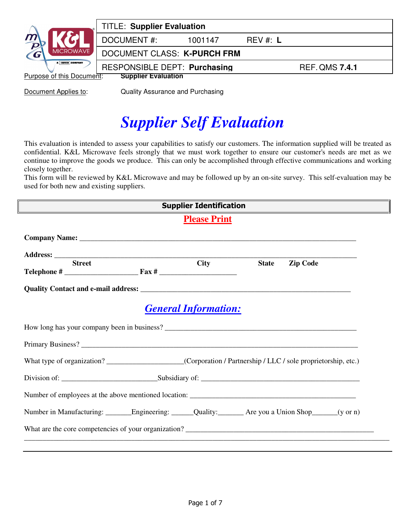|                           | <b>TITLE: Supplier Evaluation</b>   |         |          |                       |
|---------------------------|-------------------------------------|---------|----------|-----------------------|
| $\frac{m}{D}$             | <b>DOCUMENT#:</b>                   | 1001147 | REV #: L |                       |
| MICROWAVE,<br>$\epsilon$  | DOCUMENT CLASS: K-PURCH FRM         |         |          |                       |
| A DOVER COMPANY           | <b>RESPONSIBLE DEPT: Purchasing</b> |         |          | <b>REF. QMS 7.4.1</b> |
| Purpose of this Document: | <b>Supplier Evaluation</b>          |         |          |                       |

**Document Applies to:** Quality Assurance and Purchasing

# *Supplier Self Evaluation*

This evaluation is intended to assess your capabilities to satisfy our customers. The information supplied will be treated as confidential. K&L Microwave feels strongly that we must work together to ensure our customer's needs are met as we continue to improve the goods we produce. This can only be accomplished through effective communications and working closely together.

This form will be reviewed by K&L Microwave and may be followed up by an on-site survey. This self-evaluation may be used for both new and existing suppliers.

| <b>Supplier Identification</b><br><u> 1980 - Johann Barn, amerikan bestemannten (</u>                     |  |                             |              |                 |  |
|-----------------------------------------------------------------------------------------------------------|--|-----------------------------|--------------|-----------------|--|
| <b>Please Print</b>                                                                                       |  |                             |              |                 |  |
|                                                                                                           |  |                             |              |                 |  |
|                                                                                                           |  |                             |              |                 |  |
| <b>Street</b>                                                                                             |  | <b>City</b>                 | <b>State</b> | <b>Zip Code</b> |  |
|                                                                                                           |  |                             |              |                 |  |
|                                                                                                           |  | <b>General Information:</b> |              |                 |  |
|                                                                                                           |  |                             |              |                 |  |
|                                                                                                           |  |                             |              |                 |  |
|                                                                                                           |  |                             |              |                 |  |
|                                                                                                           |  |                             |              |                 |  |
|                                                                                                           |  |                             |              |                 |  |
| Number in Manufacturing: ________Engineering: ______Quality: _________Are you a Union Shop_______(y or n) |  |                             |              |                 |  |
|                                                                                                           |  |                             |              |                 |  |
|                                                                                                           |  |                             |              |                 |  |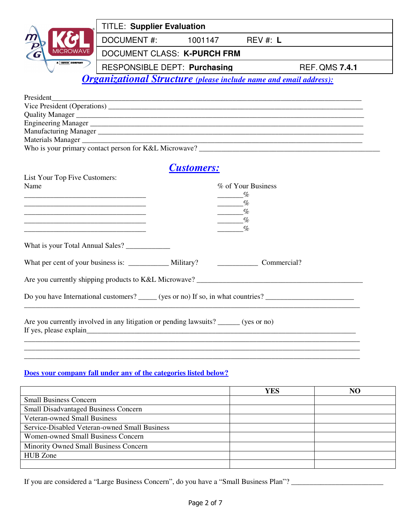|                                                            | <b>TITLE: Supplier Evaluation</b>                                        |                   |                                                                              |                                                       |
|------------------------------------------------------------|--------------------------------------------------------------------------|-------------------|------------------------------------------------------------------------------|-------------------------------------------------------|
|                                                            | DOCUMENT #: 1001147                                                      |                   | REV #: L                                                                     |                                                       |
|                                                            | DOCUMENT CLASS: K-PURCH FRM                                              |                   |                                                                              |                                                       |
| A <b>DOVER</b> COMPANY                                     | <b>RESPONSIBLE DEPT: Purchasing</b>                                      |                   |                                                                              | <b>REF. QMS 7.4.1</b>                                 |
|                                                            | <b>Organizational Structure</b> (please include name and email address): |                   |                                                                              |                                                       |
| President                                                  |                                                                          |                   |                                                                              |                                                       |
|                                                            |                                                                          |                   |                                                                              |                                                       |
| Quality Manager                                            |                                                                          |                   |                                                                              |                                                       |
|                                                            |                                                                          |                   |                                                                              |                                                       |
|                                                            |                                                                          |                   |                                                                              |                                                       |
|                                                            |                                                                          |                   |                                                                              |                                                       |
|                                                            |                                                                          |                   |                                                                              | Who is your primary contact person for K&L Microwave? |
| List Your Top Five Customers:<br>Name                      |                                                                          | <b>Customers:</b> | % of Your Business                                                           |                                                       |
|                                                            |                                                                          |                   | $\frac{\%}{\%}$<br>$\frac{1}{\sqrt{2}}$<br>$\frac{\%}{\%}$<br>$\mathcal{O}'$ |                                                       |
|                                                            |                                                                          |                   |                                                                              |                                                       |
| What per cent of your business is: _____________ Military? |                                                                          |                   | Commercial?                                                                  |                                                       |

Are you currently shipping products to K&L Microwave? \_\_\_\_\_\_\_\_\_\_\_\_\_\_\_\_\_\_\_\_\_\_\_\_\_\_\_\_\_\_\_\_\_\_\_\_\_\_\_\_\_\_\_\_\_

Do you have International customers? \_\_\_\_\_ (yes or no) If so, in what countries? \_\_\_\_\_\_\_\_\_\_\_\_\_\_\_\_\_\_\_\_\_\_\_\_

Are you currently involved in any litigation or pending lawsuits? \_\_\_\_\_\_ (yes or no) If yes, please explain\_\_\_\_\_\_\_\_\_\_\_\_\_\_\_\_\_\_\_\_\_\_\_\_\_\_\_\_\_\_\_\_\_\_\_\_\_\_\_\_\_\_\_\_\_\_\_\_\_\_\_\_\_\_\_\_\_\_\_\_\_\_\_\_\_\_\_\_\_\_\_\_\_

#### **Does your company fall under any of the categories listed below?**

|                                               | YES | NO |
|-----------------------------------------------|-----|----|
| <b>Small Business Concern</b>                 |     |    |
| <b>Small Disadvantaged Business Concern</b>   |     |    |
| <b>Veteran-owned Small Business</b>           |     |    |
| Service-Disabled Veteran-owned Small Business |     |    |
| Women-owned Small Business Concern            |     |    |
| Minority Owned Small Business Concern         |     |    |
| <b>HUB</b> Zone                               |     |    |
|                                               |     |    |

\_\_\_\_\_\_\_\_\_\_\_\_\_\_\_\_\_\_\_\_\_\_\_\_\_\_\_\_\_\_\_\_\_\_\_\_\_\_\_\_\_\_\_\_\_\_\_\_\_\_\_\_\_\_\_\_\_\_\_\_\_\_\_\_\_\_\_\_\_\_\_\_\_\_\_\_\_\_\_\_\_\_\_\_\_\_\_\_\_\_\_

\_\_\_\_\_\_\_\_\_\_\_\_\_\_\_\_\_\_\_\_\_\_\_\_\_\_\_\_\_\_\_\_\_\_\_\_\_\_\_\_\_\_\_\_\_\_\_\_\_\_\_\_\_\_\_\_\_\_\_\_\_\_\_\_\_\_\_\_\_\_\_\_\_\_\_\_\_\_\_\_\_\_\_\_\_\_\_\_\_\_\_

If you are considered a "Large Business Concern", do you have a "Small Business Plan"? \_\_\_\_\_\_\_\_\_\_\_\_\_\_\_\_\_\_\_\_\_\_\_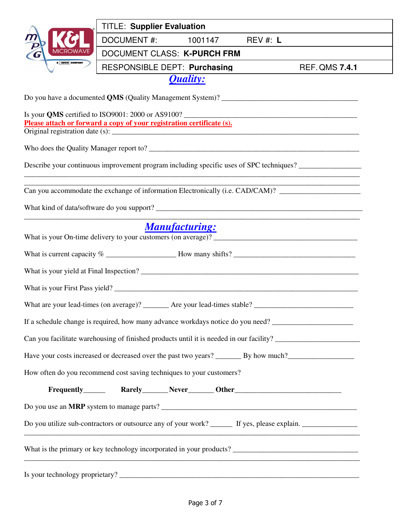|                        | <b>TITLE: Supplier Evaluation</b>                                                                                                                                                                                |                             |                       |
|------------------------|------------------------------------------------------------------------------------------------------------------------------------------------------------------------------------------------------------------|-----------------------------|-----------------------|
|                        | <b>DOCUMENT#:</b>                                                                                                                                                                                                | 1001147 REV #: L            |                       |
|                        |                                                                                                                                                                                                                  | DOCUMENT CLASS: K-PURCH FRM |                       |
| A <b>DOVER</b> COMPANY | <b>RESPONSIBLE DEPT: Purchasing</b>                                                                                                                                                                              |                             | <b>REF. QMS 7.4.1</b> |
|                        |                                                                                                                                                                                                                  | <b>Quality:</b>             |                       |
|                        |                                                                                                                                                                                                                  |                             |                       |
|                        | Is your QMS certified to ISO9001: 2000 or AS9100?                                                                                                                                                                |                             |                       |
|                        | Please attach or forward a copy of your registration certificate (s).                                                                                                                                            |                             |                       |
|                        |                                                                                                                                                                                                                  |                             |                       |
|                        |                                                                                                                                                                                                                  |                             |                       |
|                        | Describe your continuous improvement program including specific uses of SPC techniques?<br><u> 1989 - Jan Barat de Barbara, marca de la contrada de la contrada de la contrada de la contrada de la contrada</u> |                             |                       |
|                        | Can you accommodate the exchange of information Electronically (i.e. CAD/CAM)? ____________________                                                                                                              |                             |                       |
|                        |                                                                                                                                                                                                                  |                             |                       |
|                        |                                                                                                                                                                                                                  |                             |                       |
|                        |                                                                                                                                                                                                                  | <b>Manufacturing:</b>       |                       |
|                        |                                                                                                                                                                                                                  |                             |                       |
|                        |                                                                                                                                                                                                                  |                             |                       |
|                        |                                                                                                                                                                                                                  |                             |                       |
|                        |                                                                                                                                                                                                                  |                             |                       |
|                        |                                                                                                                                                                                                                  |                             |                       |
|                        | If a schedule change is required, how many advance workdays notice do you need?                                                                                                                                  |                             |                       |
|                        | Can you facilitate warehousing of finished products until it is needed in our facility? ______________________                                                                                                   |                             |                       |
|                        |                                                                                                                                                                                                                  |                             |                       |
|                        | How often do you recommend cost saving techniques to your customers?                                                                                                                                             |                             |                       |
|                        |                                                                                                                                                                                                                  |                             |                       |
|                        |                                                                                                                                                                                                                  |                             |                       |
|                        |                                                                                                                                                                                                                  |                             |                       |
|                        | Do you utilize sub-contractors or outsource any of your work? _______ If yes, please explain. ________________                                                                                                   |                             |                       |
|                        |                                                                                                                                                                                                                  |                             |                       |
|                        | <u> 1989 - Johann Barbara, martxa alemaniar argumento de la contrada de la contrada de la contrada de la contrad</u>                                                                                             |                             |                       |
|                        |                                                                                                                                                                                                                  |                             |                       |
|                        |                                                                                                                                                                                                                  |                             |                       |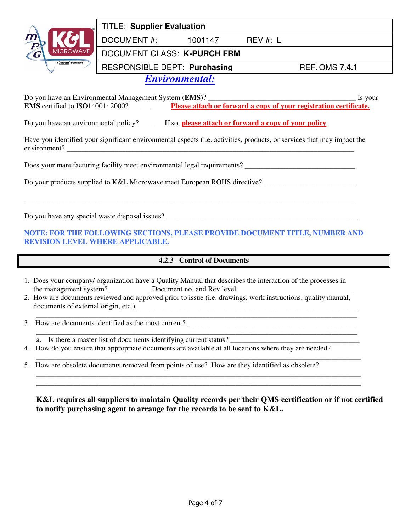

## TITLE: **Supplier Evaluation**

DOCUMENT #: 1001147 REV #: **L**

### DOCUMENT CLASS: **K-PURCH FRM**

RESPONSIBLE DEPT: **Purchasing** REF. QMS 7.4.1

# *Environmental:*

Do you have an Environmental Management System (**EMS**)? \_\_\_\_\_\_\_\_\_\_\_\_\_\_\_\_\_\_\_\_\_\_\_\_\_\_\_\_\_\_\_\_\_\_\_\_\_\_\_\_ Is your **EMS** certified to ISO14001: 2000?\_\_\_\_\_\_\_\_\_ **Please attach or forward a copy of your registration certificate.** 

Do you have an environmental policy? \_\_\_\_\_\_ If so, **please attach or forward a copy of your policy**

Have you identified your significant environmental aspects (i.e. activities, products, or services that may impact the environment?

Does your manufacturing facility meet environmental legal requirements? \_\_\_\_\_\_\_\_\_\_\_\_\_\_\_\_\_\_\_\_\_\_\_\_\_\_\_\_\_\_

Do your products supplied to K&L Microwave meet European ROHS directive? \_\_\_\_\_\_\_\_\_\_\_\_\_\_\_\_\_\_\_\_\_\_\_\_\_

Do you have any special waste disposal issues? \_\_\_\_\_\_\_\_\_\_\_\_\_\_\_\_\_\_\_\_\_\_\_\_\_\_\_\_\_\_\_\_\_\_\_\_\_\_\_\_\_\_\_\_\_\_\_\_\_\_\_\_

#### **NOTE: FOR THE FOLLOWING SECTIONS, PLEASE PROVIDE DOCUMENT TITLE, NUMBER AND REVISION LEVEL WHERE APPLICABLE.**

\_\_\_\_\_\_\_\_\_\_\_\_\_\_\_\_\_\_\_\_\_\_\_\_\_\_\_\_\_\_\_\_\_\_\_\_\_\_\_\_\_\_\_\_\_\_\_\_\_\_\_\_\_\_\_\_\_\_\_\_\_\_\_\_\_\_\_\_\_\_\_\_\_\_\_\_\_\_\_\_\_\_\_\_\_\_\_\_\_\_

#### **4.2.3 Control of Documents**

- 1. Does your company/ organization have a Quality Manual that describes the interaction of the processes in the management system? Document no. and Rev level
- 2. How are documents reviewed and approved prior to issue (i.e. drawings, work instructions, quality manual, documents of external origin, etc.) \_\_\_\_\_\_\_\_\_\_\_\_\_\_\_\_\_\_\_\_\_\_\_\_\_\_\_\_\_\_\_\_\_\_\_\_\_\_\_\_\_\_\_\_\_\_\_\_\_\_\_\_\_\_\_\_\_\_\_\_

\_\_\_\_\_\_\_\_\_\_\_\_\_\_\_\_\_\_\_\_\_\_\_\_\_\_\_\_\_\_\_\_\_\_\_\_\_\_\_\_\_\_\_\_\_\_\_\_\_\_\_\_\_\_\_\_\_\_\_\_\_\_\_\_\_\_\_\_\_\_\_\_\_\_\_\_\_\_\_\_\_\_\_\_\_\_\_

\_\_\_\_\_\_\_\_\_\_\_\_\_\_\_\_\_\_\_\_\_\_\_\_\_\_\_\_\_\_\_\_\_\_\_\_\_\_\_\_\_\_\_\_\_\_\_\_\_\_\_\_\_\_\_\_\_\_\_\_\_\_\_\_\_\_\_\_\_\_\_\_\_\_\_\_\_\_\_\_\_\_\_\_\_\_\_\_ \_\_\_\_\_\_\_\_\_\_\_\_\_\_\_\_\_\_\_\_\_\_\_\_\_\_\_\_\_\_\_\_\_\_\_\_\_\_\_\_\_\_\_\_\_\_\_\_\_\_\_\_\_\_\_\_\_\_\_\_\_\_\_\_\_\_\_\_\_\_\_\_\_\_\_\_\_\_\_\_\_\_\_\_\_\_\_\_

3. How are documents identified as the most current? \_\_\_\_\_\_\_\_\_\_\_\_\_\_\_\_\_\_\_\_\_\_\_\_\_\_\_\_\_\_\_\_\_\_\_\_\_\_\_\_\_\_\_\_\_\_

\_\_\_\_\_\_\_\_\_\_\_\_\_\_\_\_\_\_\_\_\_\_\_\_\_\_\_\_\_\_\_\_\_\_\_\_\_\_\_\_\_\_\_\_\_\_\_\_\_\_\_\_\_\_\_\_\_\_\_\_\_\_\_\_\_\_\_\_\_\_\_\_\_\_\_\_\_\_\_\_\_\_\_\_\_\_\_ a. Is there a master list of documents identifying current status?

- 4. How do you ensure that appropriate documents are available at all locations where they are needed?
- \_\_\_\_\_\_\_\_\_\_\_\_\_\_\_\_\_\_\_\_\_\_\_\_\_\_\_\_\_\_\_\_\_\_\_\_\_\_\_\_\_\_\_\_\_\_\_\_\_\_\_\_\_\_\_\_\_\_\_\_\_\_\_\_\_\_\_\_\_\_\_\_\_\_\_\_\_\_\_\_\_\_\_\_\_\_\_\_ 5. How are obsolete documents removed from points of use? How are they identified as obsolete?

**K&L requires all suppliers to maintain Quality records per their QMS certification or if not certified to notify purchasing agent to arrange for the records to be sent to K&L.**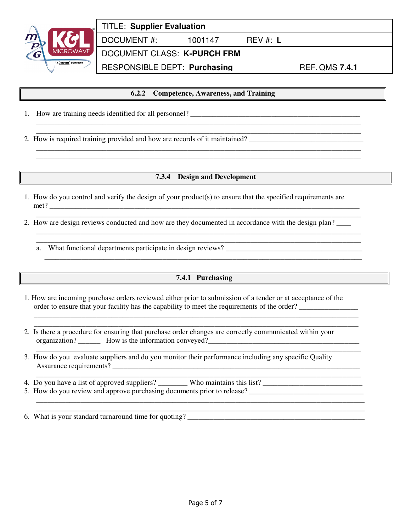

**6.2.2 Competence, Awareness, and Training**

\_\_\_\_\_\_\_\_\_\_\_\_\_\_\_\_\_\_\_\_\_\_\_\_\_\_\_\_\_\_\_\_\_\_\_\_\_\_\_\_\_\_\_\_\_\_\_\_\_\_\_\_\_\_\_\_\_\_\_\_\_\_\_\_\_\_\_\_\_\_\_\_\_\_\_\_\_\_\_\_\_\_\_\_\_\_\_\_

\_\_\_\_\_\_\_\_\_\_\_\_\_\_\_\_\_\_\_\_\_\_\_\_\_\_\_\_\_\_\_\_\_\_\_\_\_\_\_\_\_\_\_\_\_\_\_\_\_\_\_\_\_\_\_\_\_\_\_\_\_\_\_\_\_\_\_\_\_\_\_\_\_\_\_\_\_\_\_\_\_\_\_\_\_\_\_\_ \_\_\_\_\_\_\_\_\_\_\_\_\_\_\_\_\_\_\_\_\_\_\_\_\_\_\_\_\_\_\_\_\_\_\_\_\_\_\_\_\_\_\_\_\_\_\_\_\_\_\_\_\_\_\_\_\_\_\_\_\_\_\_\_\_\_\_\_\_\_\_\_\_\_\_\_\_\_\_\_\_\_\_\_\_\_\_\_

- 1. How are training needs identified for all personnel? \_\_\_\_\_\_\_\_\_\_\_\_\_\_\_\_\_\_\_\_\_\_\_\_\_\_\_\_\_\_\_\_\_\_\_\_\_\_\_\_\_\_\_\_\_\_
- \_\_\_\_\_\_\_\_\_\_\_\_\_\_\_\_\_\_\_\_\_\_\_\_\_\_\_\_\_\_\_\_\_\_\_\_\_\_\_\_\_\_\_\_\_\_\_\_\_\_\_\_\_\_\_\_\_\_\_\_\_\_\_\_\_\_\_\_\_\_\_\_\_\_\_\_\_\_\_\_\_\_\_\_\_\_\_\_ 2. How is required training provided and how are records of it maintained? \_\_\_\_\_\_\_\_\_\_\_\_\_\_\_\_\_\_\_\_\_\_\_\_\_\_\_\_\_\_\_\_\_\_\_

#### **7.3.4 Design and Development**

- 1. How do you control and verify the design of your product(s) to ensure that the specified requirements are  $met?$
- \_\_\_\_\_\_\_\_\_\_\_\_\_\_\_\_\_\_\_\_\_\_\_\_\_\_\_\_\_\_\_\_\_\_\_\_\_\_\_\_\_\_\_\_\_\_\_\_\_\_\_\_\_\_\_\_\_\_\_\_\_\_\_\_\_\_\_\_\_\_\_\_\_\_\_\_\_\_\_\_\_\_\_\_\_\_\_\_ 2. How are design reviews conducted and how are they documented in accordance with the design plan? \_\_\_\_
	- \_\_\_\_\_\_\_\_\_\_\_\_\_\_\_\_\_\_\_\_\_\_\_\_\_\_\_\_\_\_\_\_\_\_\_\_\_\_\_\_\_\_\_\_\_\_\_\_\_\_\_\_\_\_\_\_\_\_\_\_\_\_\_\_\_\_\_\_\_\_\_\_\_\_\_\_\_\_\_\_\_\_\_\_\_\_\_\_ a. What functional departments participate in design reviews?

## **7.4.1 Purchasing**

\_\_\_\_\_\_\_\_\_\_\_\_\_\_\_\_\_\_\_\_\_\_\_\_\_\_\_\_\_\_\_\_\_\_\_\_\_\_\_\_\_\_\_\_\_\_\_\_\_\_\_\_\_\_\_\_\_\_\_\_\_\_\_\_\_\_\_\_\_\_\_\_\_\_\_\_\_\_\_\_\_\_\_\_\_\_\_\_

 $\overline{\phantom{a}}$  , and the contribution of the contribution of the contribution of the contribution of the contribution of the contribution of the contribution of the contribution of the contribution of the contribution of the

\_\_\_\_\_\_\_\_\_\_\_\_\_\_\_\_\_\_\_\_\_\_\_\_\_\_\_\_\_\_\_\_\_\_\_\_\_\_\_\_\_\_\_\_\_\_\_\_\_\_\_\_\_\_\_\_\_\_\_\_\_\_\_\_\_\_\_\_\_\_\_\_\_\_\_\_\_\_\_\_\_\_\_\_\_\_\_\_

\_\_\_\_\_\_\_\_\_\_\_\_\_\_\_\_\_\_\_\_\_\_\_\_\_\_\_\_\_\_\_\_\_\_\_\_\_\_\_\_\_\_\_\_\_\_\_\_\_\_\_\_\_\_\_\_\_\_\_\_\_\_\_\_\_\_\_\_\_\_\_\_\_\_\_\_\_\_\_\_\_\_\_\_\_\_\_\_

\_\_\_\_\_\_\_\_\_\_\_\_\_\_\_\_\_\_\_\_\_\_\_\_\_\_\_\_\_\_\_\_\_\_\_\_\_\_\_\_\_\_\_\_\_\_\_\_\_\_\_\_\_\_\_\_\_\_\_\_\_\_\_\_\_\_\_\_\_\_\_\_\_\_\_\_\_\_\_\_\_\_\_\_\_\_\_\_\_

- 1. How are incoming purchase orders reviewed either prior to submission of a tender or at acceptance of the order to ensure that your facility has the capability to meet the requirements of the order?
- \_\_\_\_\_\_\_\_\_\_\_\_\_\_\_\_\_\_\_\_\_\_\_\_\_\_\_\_\_\_\_\_\_\_\_\_\_\_\_\_\_\_\_\_\_\_\_\_\_\_\_\_\_\_\_\_\_\_\_\_\_\_\_\_\_\_\_\_\_\_\_\_\_\_\_\_\_\_\_\_\_\_\_\_\_\_\_\_ 2. Is there a procedure for ensuring that purchase order changes are correctly communicated within your organization? \_\_\_\_\_\_ How is the information conveyed?\_\_\_\_\_\_\_\_\_\_\_\_\_\_\_\_\_\_\_\_\_\_\_\_\_\_\_\_\_\_\_\_\_\_\_\_\_\_\_\_\_
- \_\_\_\_\_\_\_\_\_\_\_\_\_\_\_\_\_\_\_\_\_\_\_\_\_\_\_\_\_\_\_\_\_\_\_\_\_\_\_\_\_\_\_\_\_\_\_\_\_\_\_\_\_\_\_\_\_\_\_\_\_\_\_\_\_\_\_\_\_\_\_\_\_\_\_\_\_\_\_\_\_\_\_\_\_\_\_\_ 3. How do you evaluate suppliers and do you monitor their performance including any specific Quality Assurance requirements?
- 4. Do you have a list of approved suppliers? \_\_\_\_\_\_\_\_\_Who maintains this list? \_\_\_\_\_\_\_\_\_\_\_\_\_\_\_\_\_\_\_\_\_\_\_\_\_\_\_\_\_\_\_\_\_
- 5. How do you review and approve purchasing documents prior to release? \_\_\_\_\_\_\_\_\_\_\_\_\_\_\_\_\_\_\_\_\_\_\_\_\_\_\_\_\_\_\_\_\_\_\_\_\_\_\_\_\_\_\_\_\_\_\_\_\_\_\_\_\_\_\_\_\_\_\_\_\_\_\_\_\_\_\_\_\_\_\_\_\_\_\_\_\_\_\_\_\_\_\_\_\_\_\_\_\_

6. What is your standard turnaround time for quoting?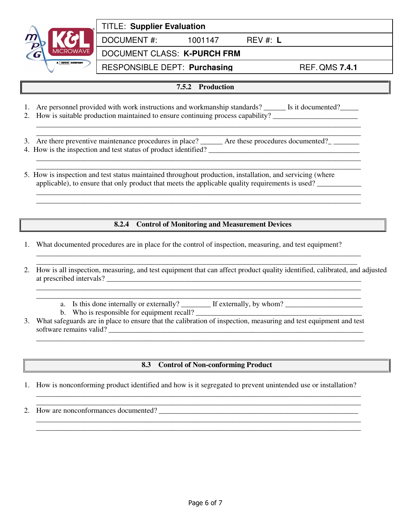

|  | <b>TITLE: Supplier Evaluation</b> |
|--|-----------------------------------|
|  |                                   |

DOCUMENT #: 1001147 REV #: **L**

DOCUMENT CLASS: **K-PURCH FRM**

RESPONSIBLE DEPT: **Purchasing** REF. QMS 7.4.1

- **7.5.2 Production**
- 1. Are personnel provided with work instructions and workmanship standards? \_\_\_\_\_\_\_ Is it documented? \_\_\_\_\_\_\_ 2. How is suitable production maintained to ensure continuing process capability?

\_\_\_\_\_\_\_\_\_\_\_\_\_\_\_\_\_\_\_\_\_\_\_\_\_\_\_\_\_\_\_\_\_\_\_\_\_\_\_\_\_\_\_\_\_\_\_\_\_\_\_\_\_\_\_\_\_\_\_\_\_\_\_\_\_\_\_\_\_\_\_\_\_\_\_\_\_\_\_\_\_\_\_\_\_\_\_\_ \_\_\_\_\_\_\_\_\_\_\_\_\_\_\_\_\_\_\_\_\_\_\_\_\_\_\_\_\_\_\_\_\_\_\_\_\_\_\_\_\_\_\_\_\_\_\_\_\_\_\_\_\_\_\_\_\_\_\_\_\_\_\_\_\_\_\_\_\_\_\_\_\_\_\_\_\_\_\_\_\_\_\_\_\_\_\_\_

\_\_\_\_\_\_\_\_\_\_\_\_\_\_\_\_\_\_\_\_\_\_\_\_\_\_\_\_\_\_\_\_\_\_\_\_\_\_\_\_\_\_\_\_\_\_\_\_\_\_\_\_\_\_\_\_\_\_\_\_\_\_\_\_\_\_\_\_\_\_\_\_\_\_\_\_\_\_\_\_\_\_\_\_\_\_\_\_

\_\_\_\_\_\_\_\_\_\_\_\_\_\_\_\_\_\_\_\_\_\_\_\_\_\_\_\_\_\_\_\_\_\_\_\_\_\_\_\_\_\_\_\_\_\_\_\_\_\_\_\_\_\_\_\_\_\_\_\_\_\_\_\_\_\_\_\_\_\_\_\_\_\_\_\_\_\_\_\_\_\_\_\_\_\_\_\_ \_\_\_\_\_\_\_\_\_\_\_\_\_\_\_\_\_\_\_\_\_\_\_\_\_\_\_\_\_\_\_\_\_\_\_\_\_\_\_\_\_\_\_\_\_\_\_\_\_\_\_\_\_\_\_\_\_\_\_\_\_\_\_\_\_\_\_\_\_\_\_\_\_\_\_\_\_\_\_\_\_\_\_\_\_\_\_\_

- 3. Are there preventive maintenance procedures in place? Are these procedures documented? 4. How is the inspection and test status of product identified?
- \_\_\_\_\_\_\_\_\_\_\_\_\_\_\_\_\_\_\_\_\_\_\_\_\_\_\_\_\_\_\_\_\_\_\_\_\_\_\_\_\_\_\_\_\_\_\_\_\_\_\_\_\_\_\_\_\_\_\_\_\_\_\_\_\_\_\_\_\_\_\_\_\_\_\_\_\_\_\_\_\_\_\_\_\_\_\_\_ 5. How is inspection and test status maintained throughout production, installation, and servicing (where applicable), to ensure that only product that meets the applicable quality requirements is used?

#### **8.2.4 Control of Monitoring and Measurement Devices**

\_\_\_\_\_\_\_\_\_\_\_\_\_\_\_\_\_\_\_\_\_\_\_\_\_\_\_\_\_\_\_\_\_\_\_\_\_\_\_\_\_\_\_\_\_\_\_\_\_\_\_\_\_\_\_\_\_\_\_\_\_\_\_\_\_\_\_\_\_\_\_\_\_\_\_\_\_\_\_\_\_\_\_\_\_\_\_\_ \_\_\_\_\_\_\_\_\_\_\_\_\_\_\_\_\_\_\_\_\_\_\_\_\_\_\_\_\_\_\_\_\_\_\_\_\_\_\_\_\_\_\_\_\_\_\_\_\_\_\_\_\_\_\_\_\_\_\_\_\_\_\_\_\_\_\_\_\_\_\_\_\_\_\_\_\_\_\_\_\_\_\_\_\_\_\_

\_\_\_\_\_\_\_\_\_\_\_\_\_\_\_\_\_\_\_\_\_\_\_\_\_\_\_\_\_\_\_\_\_\_\_\_\_\_\_\_\_\_\_\_\_\_\_\_\_\_\_\_\_\_\_\_\_\_\_\_\_\_\_\_\_\_\_\_\_\_\_\_\_\_\_\_\_\_\_\_\_\_\_\_\_\_\_\_

- 1. What documented procedures are in place for the control of inspection, measuring, and test equipment?
- 2. How is all inspection, measuring, and test equipment that can affect product quality identified, calibrated, and adjusted at prescribed intervals? \_\_\_\_\_\_\_\_\_\_\_\_\_\_\_\_\_\_\_\_\_\_\_\_\_\_\_\_\_\_\_\_\_\_\_\_\_\_\_\_\_\_\_\_\_\_\_\_\_\_\_\_\_\_\_\_\_\_\_\_\_\_\_\_\_\_\_\_\_
	- \_\_\_\_\_\_\_\_\_\_\_\_\_\_\_\_\_\_\_\_\_\_\_\_\_\_\_\_\_\_\_\_\_\_\_\_\_\_\_\_\_\_\_\_\_\_\_\_\_\_\_\_\_\_\_\_\_\_\_\_\_\_\_\_\_\_\_\_\_\_\_\_\_\_\_\_\_\_\_\_\_\_\_\_\_\_\_\_ a. Is this done internally or externally? \_\_\_\_\_\_\_\_\_\_ If externally, by whom? \_\_\_\_\_\_\_\_\_\_\_\_\_\_\_\_\_\_\_\_\_\_\_\_\_\_\_\_\_\_\_\_\_

b. Who is responsible for equipment recall?

3. What safeguards are in place to ensure that the calibration of inspection, measuring and test equipment and test software remains valid? \_\_\_\_\_\_\_\_\_\_\_\_\_\_\_\_\_\_\_\_\_\_\_\_\_\_\_\_\_\_\_\_\_\_\_\_\_\_\_\_\_\_\_\_\_\_\_\_\_\_\_\_\_\_\_\_\_\_\_\_\_\_\_\_\_\_\_\_\_

\_\_\_\_\_\_\_\_\_\_\_\_\_\_\_\_\_\_\_\_\_\_\_\_\_\_\_\_\_\_\_\_\_\_\_\_\_\_\_\_\_\_\_\_\_\_\_\_\_\_\_\_\_\_\_\_\_\_\_\_\_\_\_\_\_\_\_\_\_\_\_\_\_\_\_\_\_\_\_\_\_\_\_\_\_\_\_\_\_

#### **8.3 Control of Non-conforming Product**

1. How is nonconforming product identified and how is it segregated to prevent unintended use or installation?

\_\_\_\_\_\_\_\_\_\_\_\_\_\_\_\_\_\_\_\_\_\_\_\_\_\_\_\_\_\_\_\_\_\_\_\_\_\_\_\_\_\_\_\_\_\_\_\_\_\_\_\_\_\_\_\_\_\_\_\_\_\_\_\_\_\_\_\_\_\_\_\_\_\_\_\_\_\_\_\_\_\_\_\_\_\_\_\_ \_\_\_\_\_\_\_\_\_\_\_\_\_\_\_\_\_\_\_\_\_\_\_\_\_\_\_\_\_\_\_\_\_\_\_\_\_\_\_\_\_\_\_\_\_\_\_\_\_\_\_\_\_\_\_\_\_\_\_\_\_\_\_\_\_\_\_\_\_\_\_\_\_\_\_\_\_\_\_\_\_\_\_\_\_\_\_\_

\_\_\_\_\_\_\_\_\_\_\_\_\_\_\_\_\_\_\_\_\_\_\_\_\_\_\_\_\_\_\_\_\_\_\_\_\_\_\_\_\_\_\_\_\_\_\_\_\_\_\_\_\_\_\_\_\_\_\_\_\_\_\_\_\_\_\_\_\_\_\_\_\_\_\_\_\_\_\_\_\_\_\_\_\_\_\_\_ \_\_\_\_\_\_\_\_\_\_\_\_\_\_\_\_\_\_\_\_\_\_\_\_\_\_\_\_\_\_\_\_\_\_\_\_\_\_\_\_\_\_\_\_\_\_\_\_\_\_\_\_\_\_\_\_\_\_\_\_\_\_\_\_\_\_\_\_\_\_\_\_\_\_\_\_\_\_\_\_\_\_\_\_\_\_\_\_

2. How are nonconformances documented?